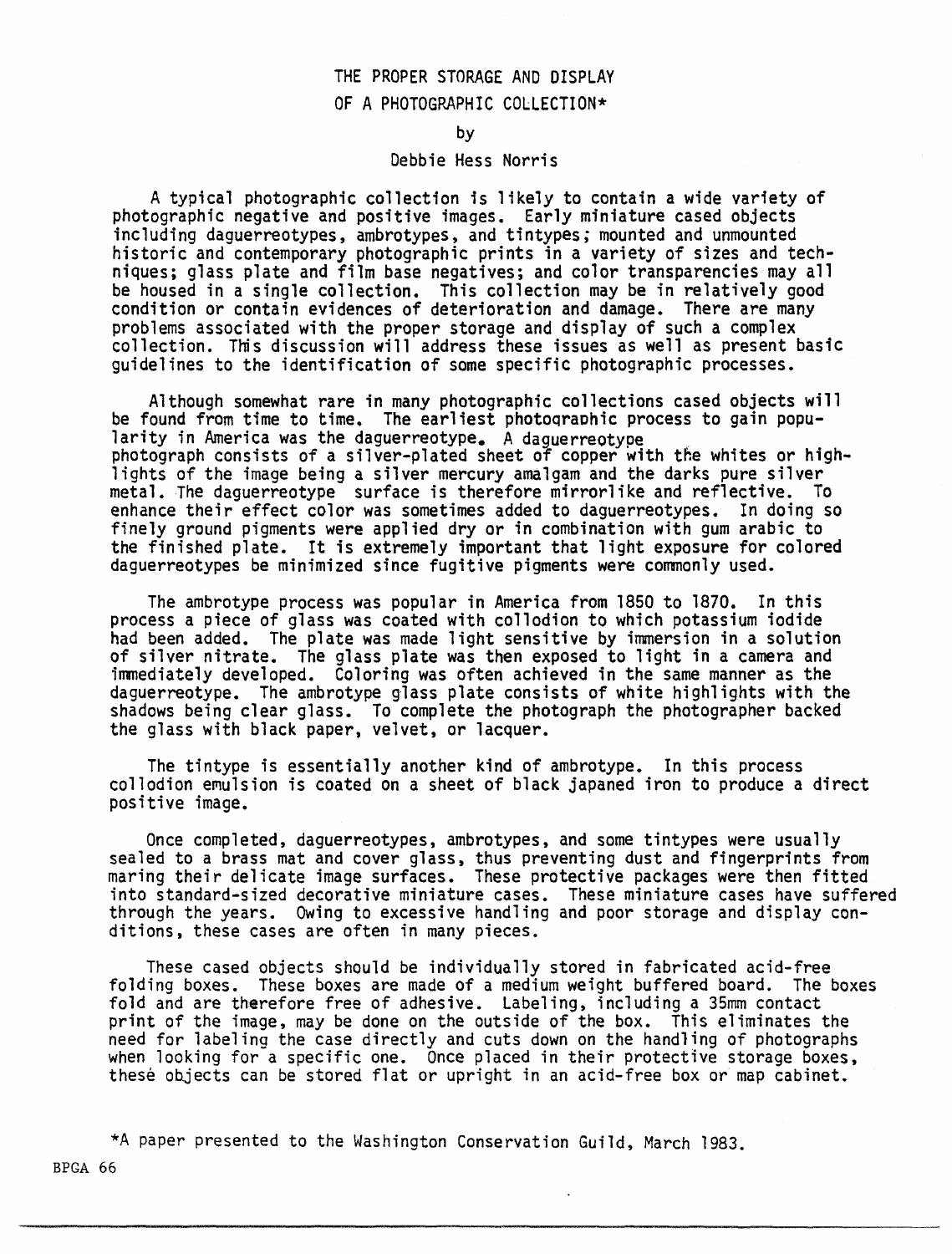# THE PROPER STORAGE AND DISPLAY OF A PHOTOGRAPHIC COLLECTION\*

by

#### Debbie Hess Norris

A typical photographic collection is likely to contain a wide variety of photographic negative and positive images. Early miniature cased objects including daguerreotypes, ambrotypes, and tintypes; mounted and unmounted historic and contemporary photographic prints in a variety of sizes and techniques; glass plate and film base negatives; and color transparencies may all<br>be housed in a single collection. This collection may be in relatively good condition or contain evidences of deterioration and damage. There are many problems associated with the proper storage and display of such a complex collection. This discussion will address these issues as well as present basic guidelines to the identification of some specific photographic processes.

Although somewhat rare in many photographic collections cased objects will be found from time to time. The earliest photographic process to gain popu-<br>larity in America was the daguerreotype. A daquerreotype photograph consists of a silver-plated sheet of copper with the whites or high-<br>lights of the image being a silver mercury amalgam and the darks pure silver metal. The daguerreotype surface is therefore mirrorlike and reflective. To enhance their effect color was sometimes added to daguerreotypes. In doing so finely ground pigments were applied dry or in combination with gum arabic to the finished plate. It is extremely important that light exposure for colored daguerreotypes be minimized since fugitive pigments were commonly used.

The ambrotype process was popular in America from 1850 to 1870. In this process a piece of glass was coated with collodion to which potassium iodide had been added. The plate was made light sensitive by immersion in a solution of silver nitrate. The glass plate was then exposed to light in a camera and immediately developed. Coloring was often achieved in the same manner as the daguerreotype. The ambrotype glass plate consists of white highlights with the shadows being clear glass. To complete the photograph the photographer backed the glass with black paper, velvet, or lacquer.

The tintype is essentially another kind of ambrotype. In this process collodion emulsion is coated on a sheet of black japaned iron to produce a direct positive image.

Once completed, daguerreotypes, ambrotypes, and some tintypes were usually sealed to a brass mat and cover glass, thus preventing dust and fingerprints from maring their delicate image surfaces. These protective packages were then fitted into standard-sized decorative miniature cases. These miniature cases have suffered through the years. Owing to excessive handling and poor storage and display conditions, these cases are often in many pieces.

These cased objects should be individually stored in fabricated acid-free folding boxes. These boxes are made of a medium weight buffered board. The boxes fold and are therefore free of adhesive. Labeling, including a 35mm contact print of the image, may be done on the outside of the box. This eliminates the need for labeling the case directly and cuts down on the handling of photographs when looking for a specific one. Once placed in their protective storage boxes, these objects can be stored flat or upright in an acid-free box or map cabinet.

\*A paper presented to the Washington Conservation Guild, March 1983.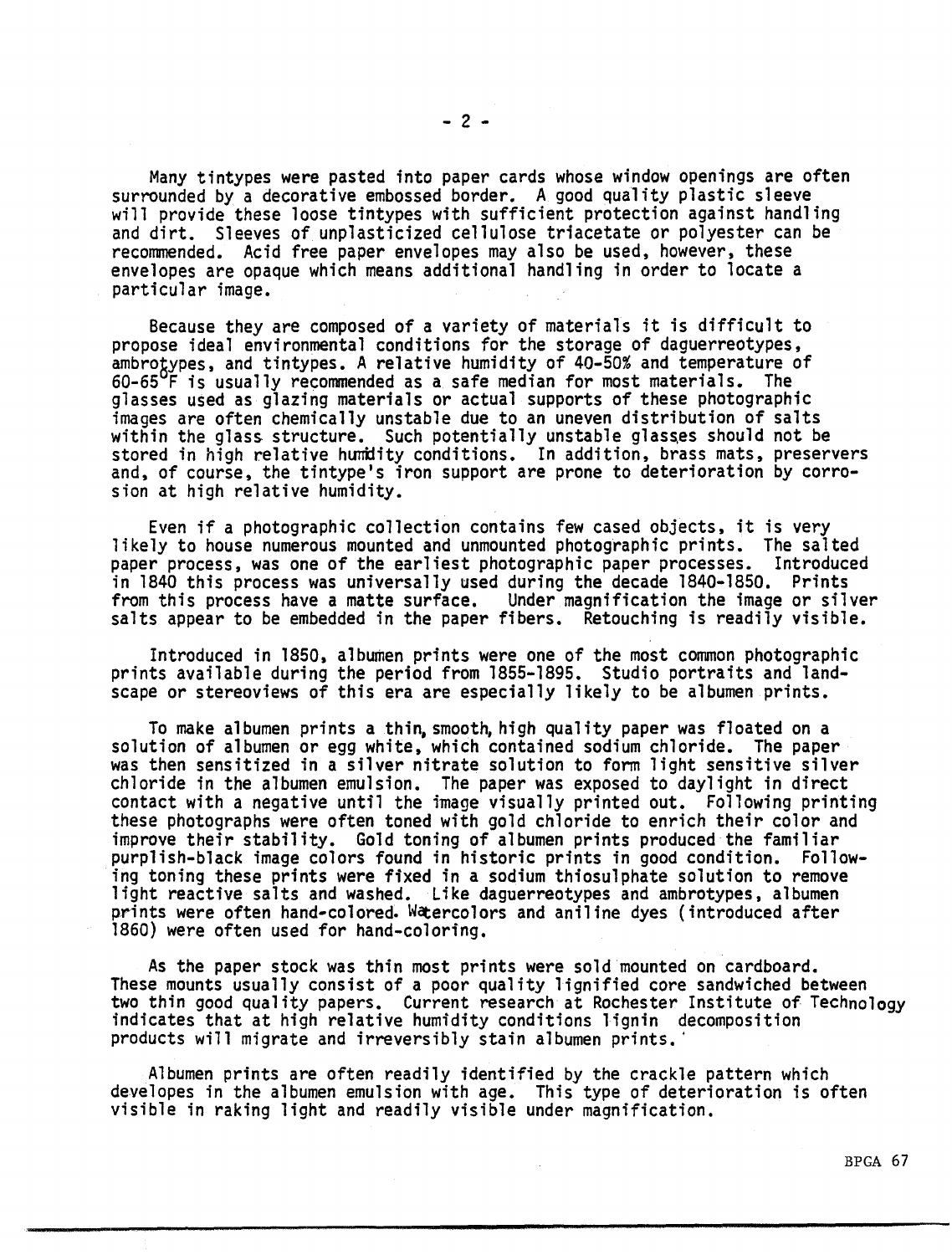Many tintypes were pasted into paper cards whose window openings are often surrounded by a decorative embossed border. A good quality plastic sleeve will provide these loose tintypes with sufficient protection against handling and dirt. Sleeves of unplasticized cellulose triacetate or polyester can be

recommended. Acid free paper envelopes may also be used, however, these envelopes are opaque which means additional handling in order to locate a particular image.

Because they are composed of a variety of materials it is difficult to propose ideal environmental conditions for the storage of daguerreotypes. ambrotypes, and tintypes. A relative humidity of 40-50% and temperature of  $60-65^{\circ}$ F is usually recommended as a safe median for most materials. The glasses used as glazing materials or actual supports of these photographic images are often chemically unstable due to an uneven distribution of salts within the glass structure. Such potentially unstable glasses should not be stored in high relative humidity conditions. In addition, brass mats, preservers and, of course, the tintype's iron support are prone to deterioration by corrosion at high relative humidity.

Even if a photographic collection contains few cased objects, it is very likely to house numerous mounted and unmounted photographic prints. The salted paper process, was one of the earliest photographic paper processes. in 1840 this process was universally used during the decade 1840-1850. Prints from this process have a matte surface. Under magnification the image or silver salts appear to be embedded in the paper fibers. Retouching is readily visible.

Introduced in 1850, albumen prints were one of the most common photographic prints available during the period from 1855-1895. Studio portraits and landscape or stereoviews of this era are especially likely to be albumen prints.

To make albumen prints a thin, smooth, high quality paper was floated on a solution of albumen or egg white, which contained sodium chloride. The paper was then sensitized in a silver nitrate solution to form light sensitive silver chloride in the albumen emulsion. The paper was exposed to daylight in direct contact with a negative until the image visually printed out. Following printing these photographs were often toned with gold chloride to enrich their color and improve their stability. Gold toning of albumen prints produced the familiar purplish-black image colors found in historic prints in good condition. Following toning these prints were fixed in a sodium thiosulphate solution to remove light reactive salts and washed. Like daguerreotypes and ambrotypes, albumen prints were often hand-colored. Watercolors and aniline dyes (introduced after 1860) were often used for hand-coloring.

As the paper stock was thin most prints were sold mounted on cardboard. These mounts usually consist of a poor quality lignified core sandwiched between two thin good quality papers. Current research at Rochester Institute of Technology indicates that at high relative humidity conditions lignin decomposition products will migrate and irreversibly stain albumen prints.·

Albumen prints are often readily identified by the crackle pattern which developes in the albumen emulsion with age. This type of deterioration is often visible in raking light and readily visible under magnification.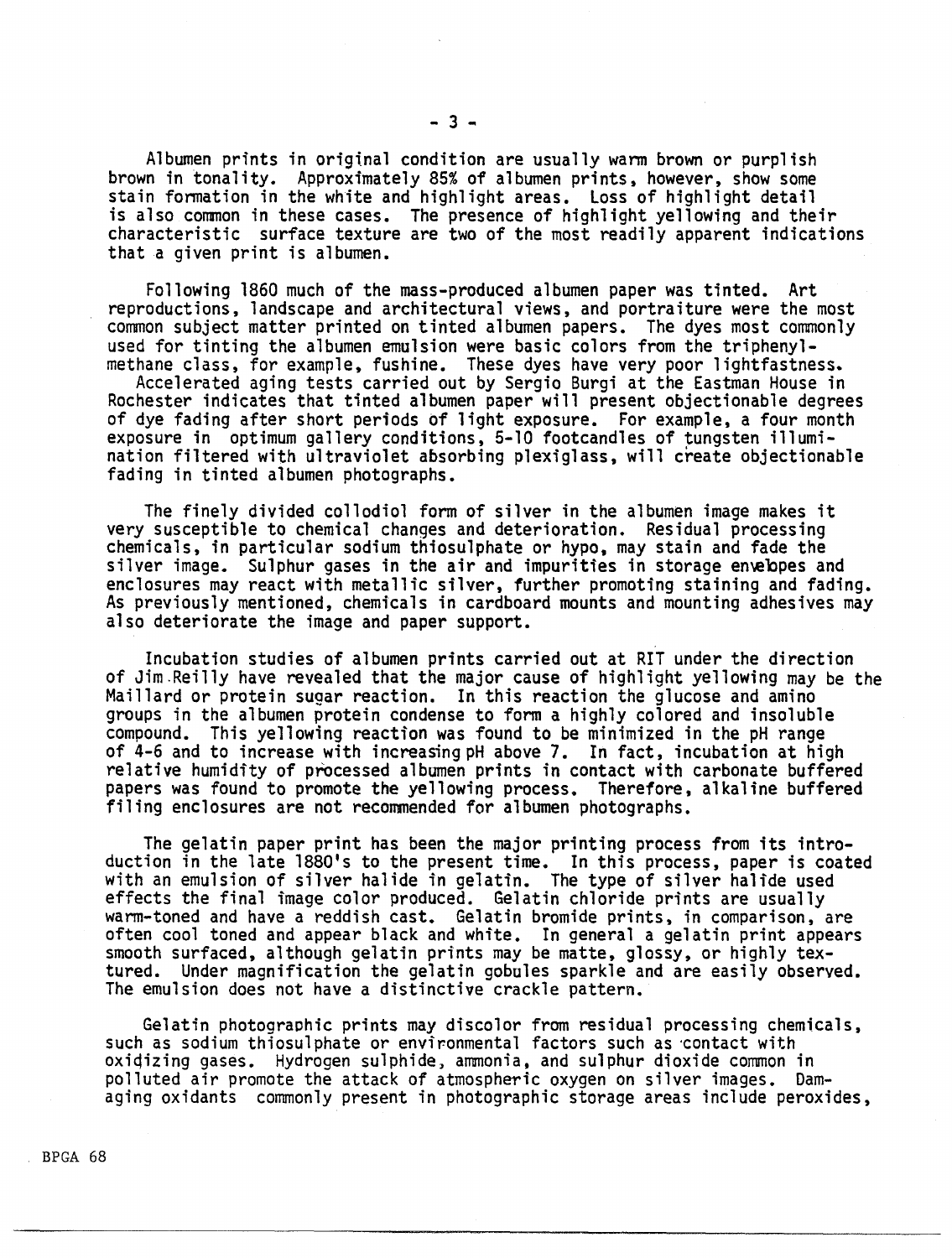Albumen prints in original condition are usually wann brown or purplish brown in tonality. Approximately 85% of albumen prints, however, show some stain fonnation in the white and highlight areas. Loss of highlight detail is also common in these cases. The presence of highlight yellowing and their

characteristic surface texture are two of the most readily apparent indications

Following 1860 much of the mass-produced albumen paper was tinted. Art reproductions, landscape and architectural views, and portraiture were the most common subject matter printed on tinted albumen papers. The dyes most commonly<br>used for tinting the albumen emulsion were basic colors from the triphenyl-

methane class, for example, fushine. These dyes have very poor lightfastness.<br>Accelerated aging tests carried out by Sergio Burgi at the Eastman House in Rochester indicates that tinted albumen paper will present objectionable degrees<br>of dye fading after short periods of light exposure. For example, a four month exposure in optimum gallery conditions, 5-10 footcandles of tungsten illumination filtered with ultraviolet absorbing plexiglass, will create objectionable fading in tinted albumen photographs.

The finely divided collodiol form of silver in the albumen image makes it<br>very susceptible to chemical changes and deterioration. Residual processing chemicals, in particular sodium thiosulphate or hypo, may stain and fade the silver image. Sulphur gases in the air and impurities in storage envelopes and<br>enclosures may react with metallic silver, further promoting staining and fading. As previously mentioned, chemicals in cardboard mounts and mounting adhesives may also deteriorate the image and paper support.

Incubation studies of albumen prints carried out at RIT under the direction of Jim.Reilly have revealed that the major cause of highlight yellowing may be the Maillard or protein sugar reaction. In this reaction the glucose and amino groups in the albumen protein condense to form a highly colored and insoluble compound. This yellowing reaction was found to be minimized in the pH range of 4-6 and to increase with increasing pH above 7. In fact, incubation at high<br>relative humidity of processed albumen prints in contact with carbonate buffered papers was found to promote the yellowing process. Therefore, alkaline buffered filing enclosures are not recommended for albumen photographs.

The gelatin paper print has been the major printing process from its introduction in the late 1880's to the present time. In this process, paper is coated with an emulsion of silver halide in gelatin. The type of silver halide used effects the final image color produced. Gelatin chloride prints are usually warm-toned and have a reddish cast. Gelatin bromide prints, in comparison, are often cool toned and appear black and white. In general a gelatin print appears smooth surfaced, although gelatin prints may be matte, glossy, or highly tex-Under magnification the gelatin gobules sparkle and are easily observed. The emulsion does not have a distinctive crackle pattern.

Gelatin photographic prints may discolor from residual processing chemicals, such as sodium thiosulphate or environmental factors such as contact with oxiqizing gases. Hydrogen sulphide, ammonia, and sulphur dioxide common in polluted air promote the attack of atmospheric oxygen on silver images. Damaging oxidants commonly present in photographic storage areas include peroxides,

that a given print is albumen.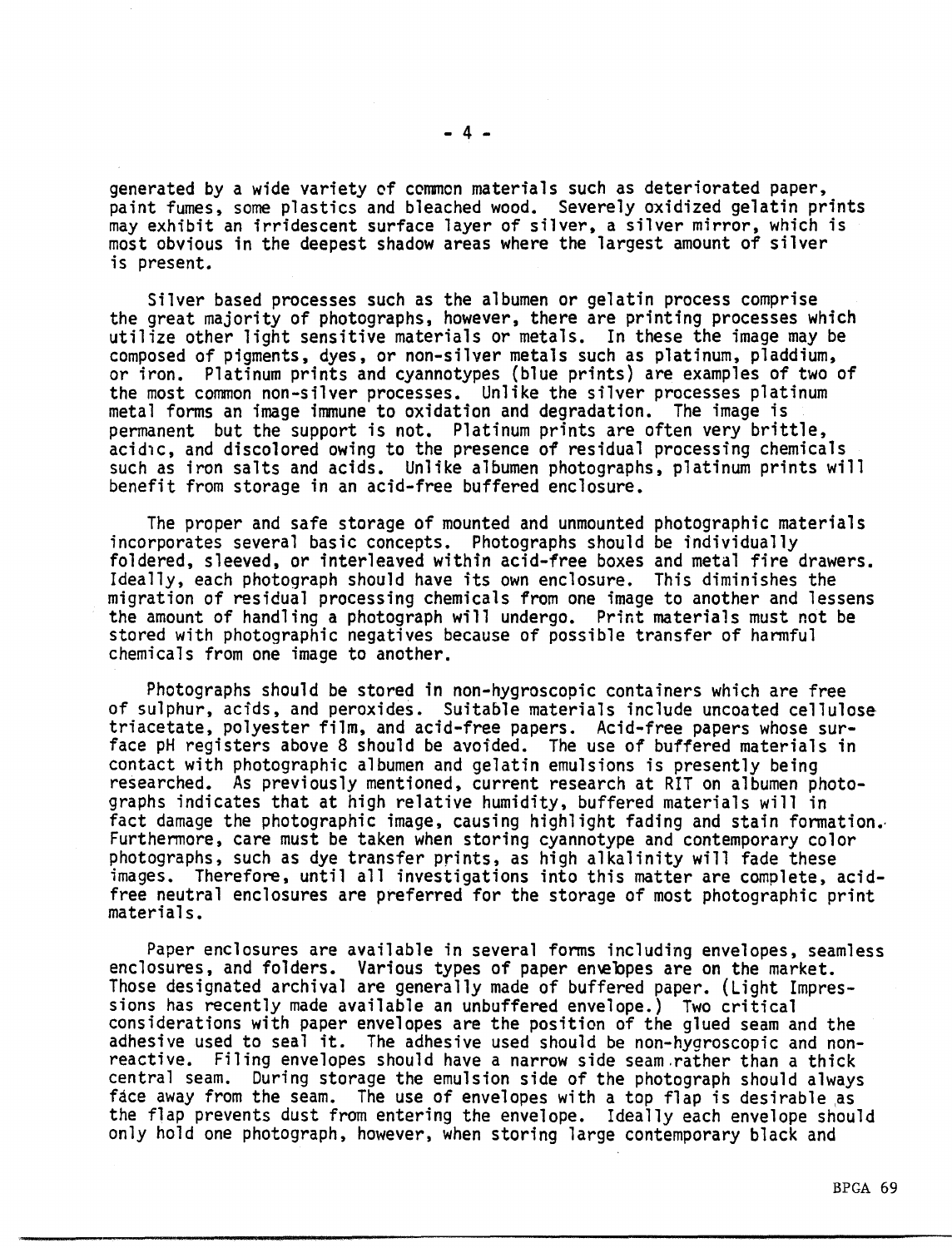generated by a wide variety of common materials such as deteriorated paper, paint fumes, some plastics and bleached wood. Severely oxidized gelatin prints may exhibit an irridescent surface layer of silver, a silver mirror, which is most obvious in the deepest shadow areas where the largest amount of silver is present.

Silver based processes such as the albumen or gelatin process comprise<br>the great majority of photographs, however, there are printing processes which utilize other light sensitive materials or metals. In these the image may be composed of pigments, dyes, or non-silver metals such as platinum, pladdium, or iron. Platinum prints and cyannotypes (blue prints) are examples of two of the most common non-silver processes. Unlike the silver processes platinum metal forms an image immune to oxidation and degradation. The image is permanent but the support is not. Platinum prints are often very brittle, acidic, and discolored owing to the presence of residual processing chemicals such as iron salts and acids. Unlike albumen photographs, platinum prints will benefit from storage in an acid-free buffered enclosure.

The proper and safe storage of mounted and unmounted photographic materials incorporates several basic concepts. Photographs should be individually foldered, sleeved, or interleaved within acid-free boxes and metal fire drawers. Ideally, each photograph should have its own enclosure. This diminishes the migration of residual processing chemicals from one image to another and lessens the amount of handling a photograph will undergo. Print materials must not be stored with photographic negatives because of possible transfer of hannful chemicals from one image to another.

Photographs should be stored in non-hygroscopic containers which are free of sulphur, acids, and peroxides. Suitable materials include uncoated cellulose triacetate, polyester film, and acid-free papers. Acid-free papers whose surface pH registers above 8 should be avoided. The use of buffered materials in contact with photographic albumen and gelatin emulsions is presently being<br>researched. As previously mentioned, current research at RIT on albumen photo-<br>graphs indicates that at high relative humidity, buffered materials fact damage the photographic image, causing highlight fading and stain formation. Furthennore, care must be taken when storing cyannotype and contemporary color photographs, such as dye transfer prints, as high alkalinity will fade these images. Therefore, until all investigations into this matter are complete, acidfree neutral enclosures are preferred for the storage of most photographic print<br>materials.

Paper enclosures are available in several forms including envelopes, seamless enclosures, and folders. Various types of paper en\e'bpes are on the market. Those designated archival are generally made of buffered paper. (Light Impres-<br>sions has recently made available an unbuffered envelope.) Two critical considerations with paper envelopes are the position of the glued seam and the adhesive used to seal it. The adhesive used should be non-hygroscopic and nonreactive. Filing envelopes should have a narrow side seam.rather than a thick central seam. During storage the emulsion side of the photograph should always<br>face away from the seam. The use of envelopes with a top flap is desirable as the flap prevents dust from entering the envelope. Ideally each envelope should only hold one photograph, however, when storing large contemporary black and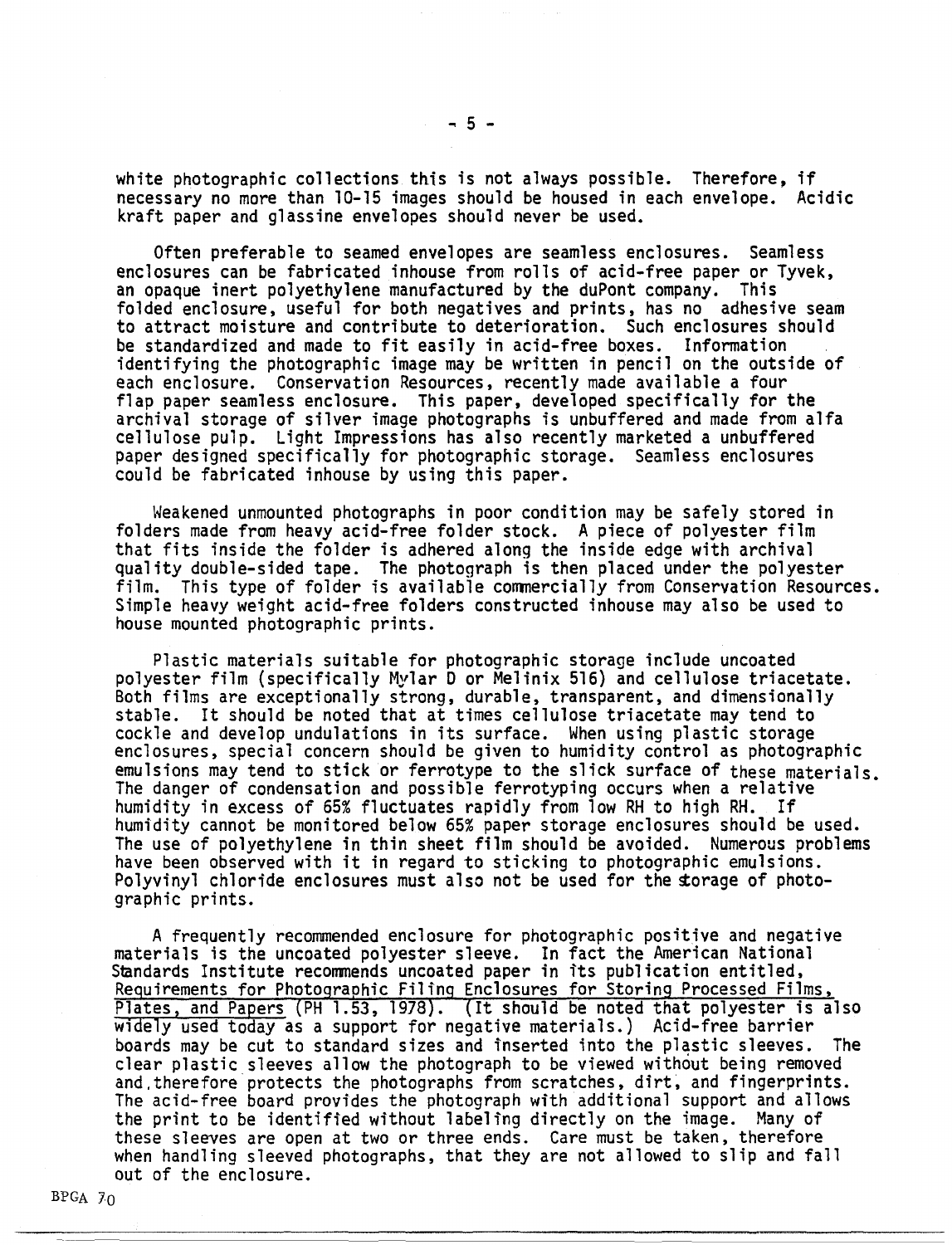white photographic collections this is not always possible. Therefore, if necessary no more than 10-15 images should be housed in each envelope. Acidic kraft paper and glassine envelopes should never be used.

Often preferable to seamed envelopes are seamless enclosures. Seamless enclosures can be fabricated inhouse from rolls of acid-free paper or Tyvek, an opaque inert polyethylene manufactured by the duPont company. This folded enclosure, useful for both negatives and prints, has no adhesive seam to attract moisture and contribute to deterioration. Such enclosures should be standardized and made to fit easily in acid-free boxes. Information identifying the photographic image may be written in pencil on the outside of each enclosure. Conservation Resources, recently made available a four flap paper seamless enclosure. This paper, developed specifically for the archival storage of silver image photographs is unbuffered and made from alfa cellulose pulp. Light Impressions has also recently marketed a unbuffered paper designed specifically for photographic storage. Seamless enclosures could be fabricated inhouse by using this paper.

Weakened unmounted photographs in poor condition may be safely stored in folders made from heavy acid-free folder stock. A piece of polyester film that fits inside the folder is adhered along the inside edge with archival quality double-sided tape. The photograph is then placed under the polyester<br>film. This type of folder is available commercially from Conservation Resources. Simple heavy weight acid-free folders constructed inhouse may also be used to house mounted photographic prints.

Plastic materials suitable for photographic storage include uncoated polyester film (specifically Mylar Dor Melinix 516} and cellulose triacetate. Both films are exceptionally strong, durable, transparent, and dimensionally<br>stable. It should be noted that at times cellulose triacetate may tend to cockle and develop undulations in its surface. When using plastic storage<br>enclosures, special concern should be given to humidity control as photographic emulsions may tend to stick or ferrotype to the slick surface of these materials. The danger of condensation and possible ferrotyping occurs when a relative humidity in excess of 65% fluctuates rapidly from low RH to high RH. If humidity cannot be monitored below 65% paper storage enclosures should be used. have been observed with it in regard to sticking to photographic emulsions. Polyvinyl chloride enclosures must also not be used for the sorage of photo-<br>graphic prints.

A frequently recommended enclosure for photographic positive and negative materials is the uncoated polyester sleeve. In fact the American National Standards Institute recommends uncoated paper in its publication entitled, Requirements for Photographic Filing Enclosures for Storing Processed Films, Plates, and Papers (PH 1.53, 1978). (It should be noted that polyester is also widely used today as a support for negative materials.) Acid-free barrier boards may be cut to standard sizes and inserted into the plastic sleeves. The clear plastic sleeves allow the photograph to be viewed without being removed and.therefore protects the photographs from scratches, dirt, and fingerprints. The acid-free board provides the photograph with additional support and allows the print to be identified without labeling directly on the image. Many of these sleeves are open at two or three ends. Care must be taken, therefore when handling sleeved photographs, that they are not allowed to slip and fall out of the enclosure.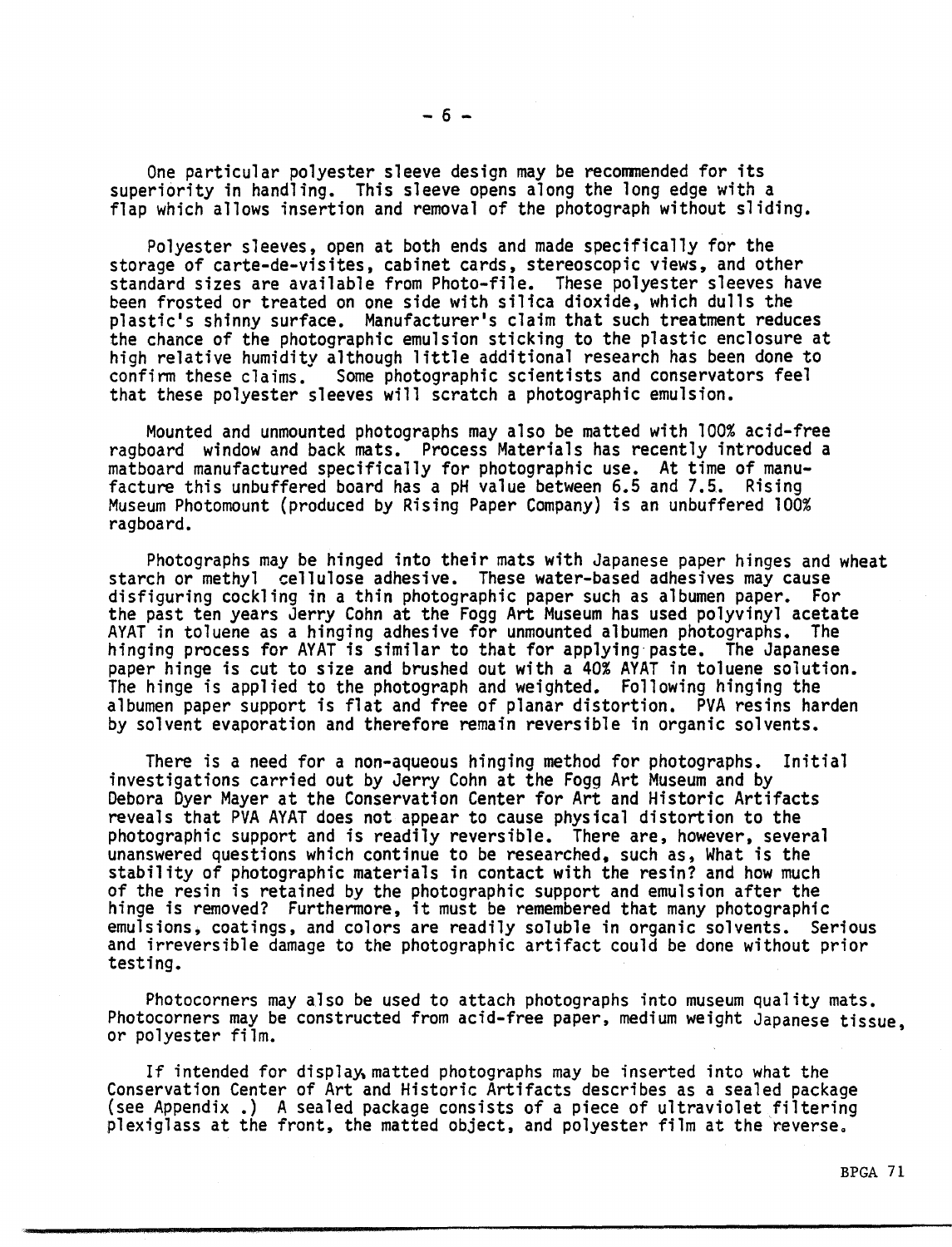One particular polyester sleeve design may be recommended for its superiority in handling. This sleeve opens along the long edge with a flap which allows insertion and removal of the photograph without sliding.

Polyester sleeves, open at both ends and made specifically for the storage of carte-de-visites, cabinet cards, stereoscopic views, and other standard sizes are available from Photo-file. These polyester sleeves have been frosted or treated on one side with silica dioxide, which dulls the plastic's shinny surface. Manufacturer's claim that such treatment reduces the chance of the photographic emulsion sticking to the plastic enclosure at high relative humidity although little additional research has been done to confirm these claims. Some photographic scientists and conservators feel Some photographic scientists and conservators feel that these polyester sleeves will scratch a photographic emulsion.

Mounted and unmounted photographs may also be matted with 100% acid-free ragboard window and back mats. Process Materials has recently introduced a matboard manufactured specifically for photographic use. At time of manufacture this unbuffered board has a pH value between 6.5 and 7.5.. Rising Museum Photomount (produced by Rising Paper Company) is an unbuffered 100% ragboard.

Photographs may be hinged into their mats with Japanese paper hinges and wheat starch or methyl cellulose adhesive. These water-based adhesives may cause disfiguring cockling in a thin photographic paper such as albumen paper. For the past ten years Jerry Cohn at the Fogg Art Museum has used polyvinyl acetate<br>AYAT in toluene as a hinging adhesive for unmounted albumen photographs. The AYAT in toluene as a hinging adhesive for unmounted albumen photographs. hinging process for AYAT is similar to that for applying·paste. The Japanese paper hinge is cut to size and brushed out with a 40% AYAT in toluene solution. The hinge is applied to the photograph and weighted. Following hinging the albumen paper support is flat and free of planar distortion. PVA resins harden by solvent evaporation and therefore remain reversible in organic solvents.

There is a need for a non-aqueous hinging method for photographs. Initial<br>investigations carried out by Jerry Cohn at the Fogg Art Museum and by Debora Dyer Mayer at the Conservation Center for Art and Historic Artifacts reveals that PVA AYAT does not appear to cause physical distortion to the photographic support and is readily reversible. There are, however, several unanswered questions which continue to be researched, such as, What is the stability of photographic materials in contact with the resin? and how much of the resin is retained by the photographic support and emulsion after the<br>hinge is removed? Furthermore, it must be remembered that many photographic emulsions, coatings, and colors are readily soluble in organic solvents. Serious and irreversible damage to the photographic artifact could be done without prior<br>testing.

Photocorners may also be used to attach photographs into museum quality mats. Photocorners may be constructed from acid-free paper, medium weight Japanese tissue, or polyester film.

If intended for display matted photographs may be inserted into what the Conservation Center of Art and Historic Artifacts describes as a sealed package (see Appendix .) A sealed package consists of a piece of ultraviolet filtering plexiglass at the front, the matted object, and polyester film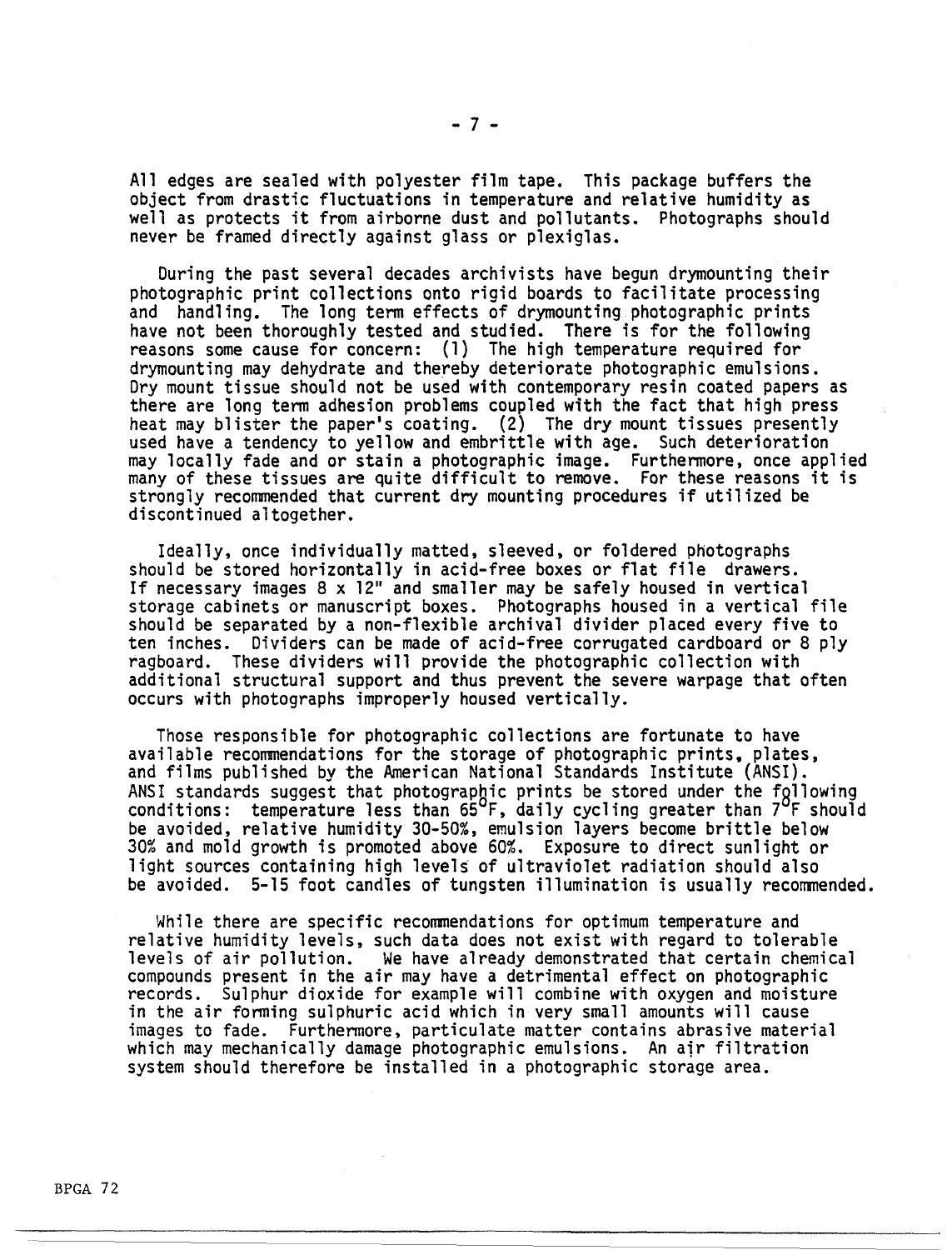All edges are sealed with polyester film tape. This package buffers the object from drastic fluctuations in temperature and relative humidity as well as protects it from airborne dust and pollutants. Photographs should never be framed directly against glass or plexiglas.

During the past several decades archivists have begun drymounting their photographic print collections onto rigid boards to facilitate processing<br>and handling. The long term effects of drymounting photographic prints have not been thoroughly tested and studied. There is for the following reasons some cause for concern: (1) The high temperature required for drymounting may dehydrate and thereby deteriorate photographic emulsions. Dry mount tissue should not be used with contemporary resin coated papers as there are long term adhesion problems coupled with the fact that high press heat may blister the paper's coating. (2) The dry mount tissues presently used have a tendency to yellow and embrittle with age. Such deterioration may locally fade and or stain a photographic image. Furthermore, once applied many of these tissues are quite difficult to remove. For these reasons it is strongly recommended that current dry mounting procedures if utilized be discontinued altogether.

Ideally, once individually matted, sleeved, or foldered photographs should be stored horizontally in acid-free boxes or flat file drawers. If necessary images  $8 \times 12$ " and smaller may be safely housed in vertical storage cabinets or manuscript boxes. Photographs housed in a vertical file should be separated by a non-flexible archival divider placed every five to ten inches. Dividers can be made of acid-free corrugated cardboard or 8 ply ragboard. These dividers will provide the photographic collection with additional structural support and thus prevent the severe warpage that often occurs with photographs improperly housed vertically.

Those responsible for photographic collections are fortunate to have available recommendations for the storage of photographic prints. plates, and films published by the American National Standards Institute (ANSI). ANSI standards suggest that photographic prints be stored under the fgllowing conditions: temperature less than  $65^{\circ}F$ , daily cycling greater than  $7^{\circ}F$  should be avoided, relative humidity 30-50%, emulsion layers become brittle below 30% and mold growth is promoted above 60%. Exposure to direct sunlight or light sources containing high levels of ultraviolet radiation should also be avoided. 5-15 foot candles of tungsten illumination is usually recommended.

While there are specific recommendations for optimum temperature and relative humidity levels, such data does not exist with regard to tolerable levels of air pollution. We have already demonstrated that certain chemical<br>compounds present in the air may have a detrimental effect on photographic records. Sulphur dioxide for example will combine with oxygen and moisture in the air forming sulphuric acid which in very small amounts will cause images to fade. Furthermore, particulate matter contains abrasive material which may mechanically damage photographic emulsions. An air filtration system should therefore be installed in a photographic storage area.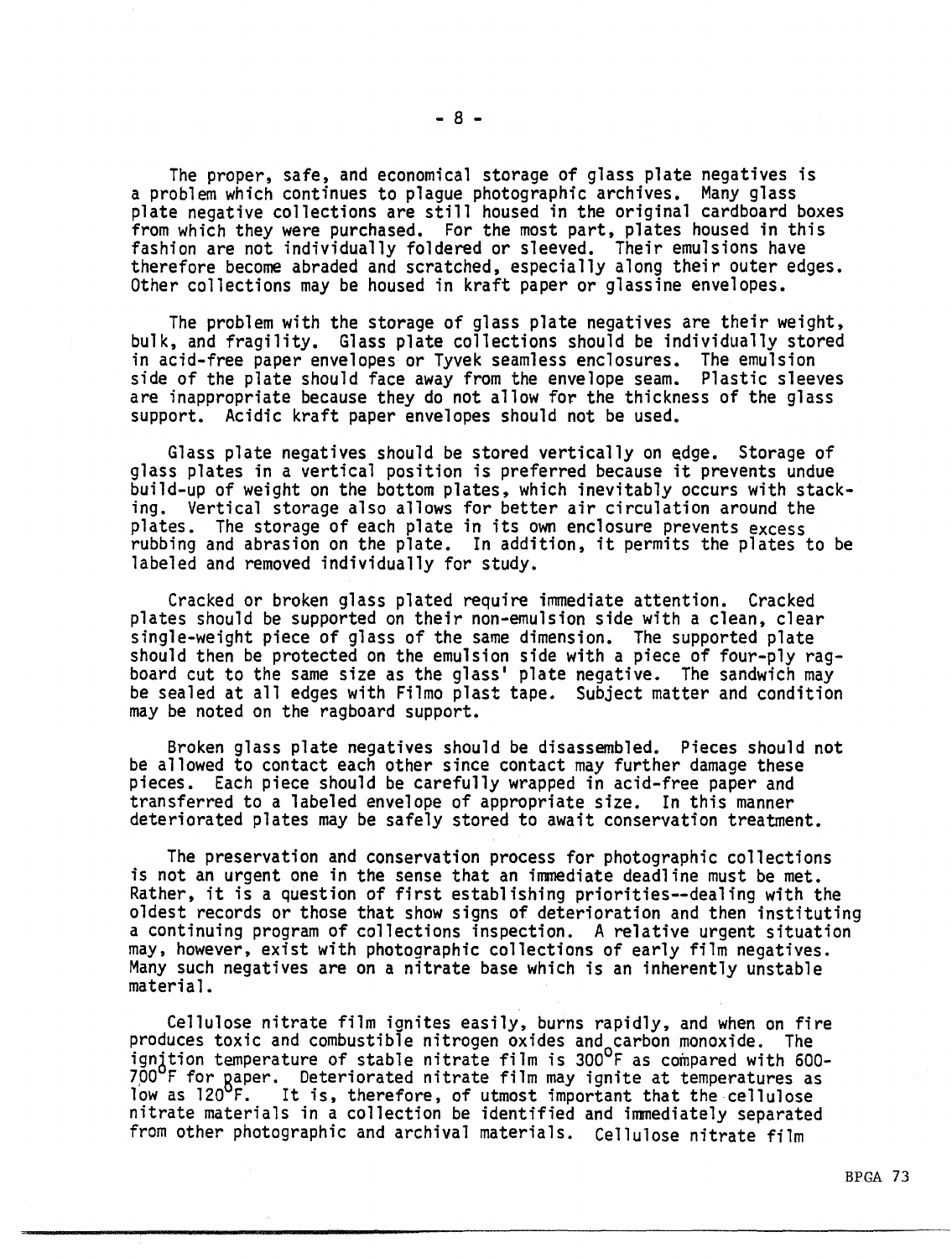The proper, safe, and economical storage of glass plate negatives is<br>a problem which continues to plague photographic archives. Many glass plate negative collections are still housed in the original cardboard boxes from which they were purchased. For the most part, plates housed in this fashion are not individually foldered or sleeved. Their emulsions have therefore become abraded and scratched, especially along their outer edges. Other collections may be housed in kraft paper or glassine envelopes.

The problem with the storage of glass plate negatives are their weight, bulk, and fragility. Glass plate collections should be individually stored in acid-free paper envelopes or Tyvek seamless enclosures. The emulsion side of the plate should face away from the envelope seam. Plastic sleeves are inappropriate because they do not allow for the thickness of the glass support. Acidic kraft paper envelopes should not be used.

Glass plate negatives should be stored vertically on edge. Storage of glass plates in a vertical position is preferred because it prevents undue build-up of weight on the bottom plates, which inevitably occurs with stacking. Vertical storage also allows for better air circulation around the plates. The storage of each plate in its own enclosure prevents excess rubbing and abrasion on the plate. In addition, it permits the plates to be labeled and removed individually for study.

Cracked or broken glass plated require immediate attention. Cracked plates should be supported on their non-emulsion side with a clean, clear<br>single-weight piece of glass of the same dimension. The supported plate should then be protected on the emulsion side with a piece of four-ply rag-<br>board cut to the same size as the glass' plate negative. The sandwich may<br>be sealed at all edges with Filmo plast tape. Subject matter and conditi may be noted on the ragboard support.

Broken glass plate negatives should be disassembled. Pieces should not be allowed to contact each other since contact may further damage these pieces. Each piece should be carefully wrapped in acid-free paper and transferred to a labeled envelope of appropriate size. In this manner deteriorated plates may be safely stored to await conservation treatment.

The preservation and conservation process for photographic collections is not an urgent one in the sense that an immediate deadline must be met. Rather, it is a question of first establishing priorities--dealing with the oldest records or those that show signs of deterioration and then instituting a continuing program of collections inspection. A relative urgent situation may, however, exist with photographic collections of early film negatives. Many such negatives are on a nitrate base which is an inherently unstable material.

Cellulose nitrate film ignites easily, burns rapidly, and when on fire produces toxic and combustible nitrogen oxides and carbon monoxide. The ignition temperature of stable nitrate film is 300°F as compared with 600-700°F for paper. Deteriorated nitrate film may ignite at temperatures as<br>low as 120°F. It is, therefore, of utmost important that the cellulose It is, therefore, of utmost important that the cellulose nitrate materials in a collection be identified and immediately separated from other photographic and archival materials. Cellulose nitrate film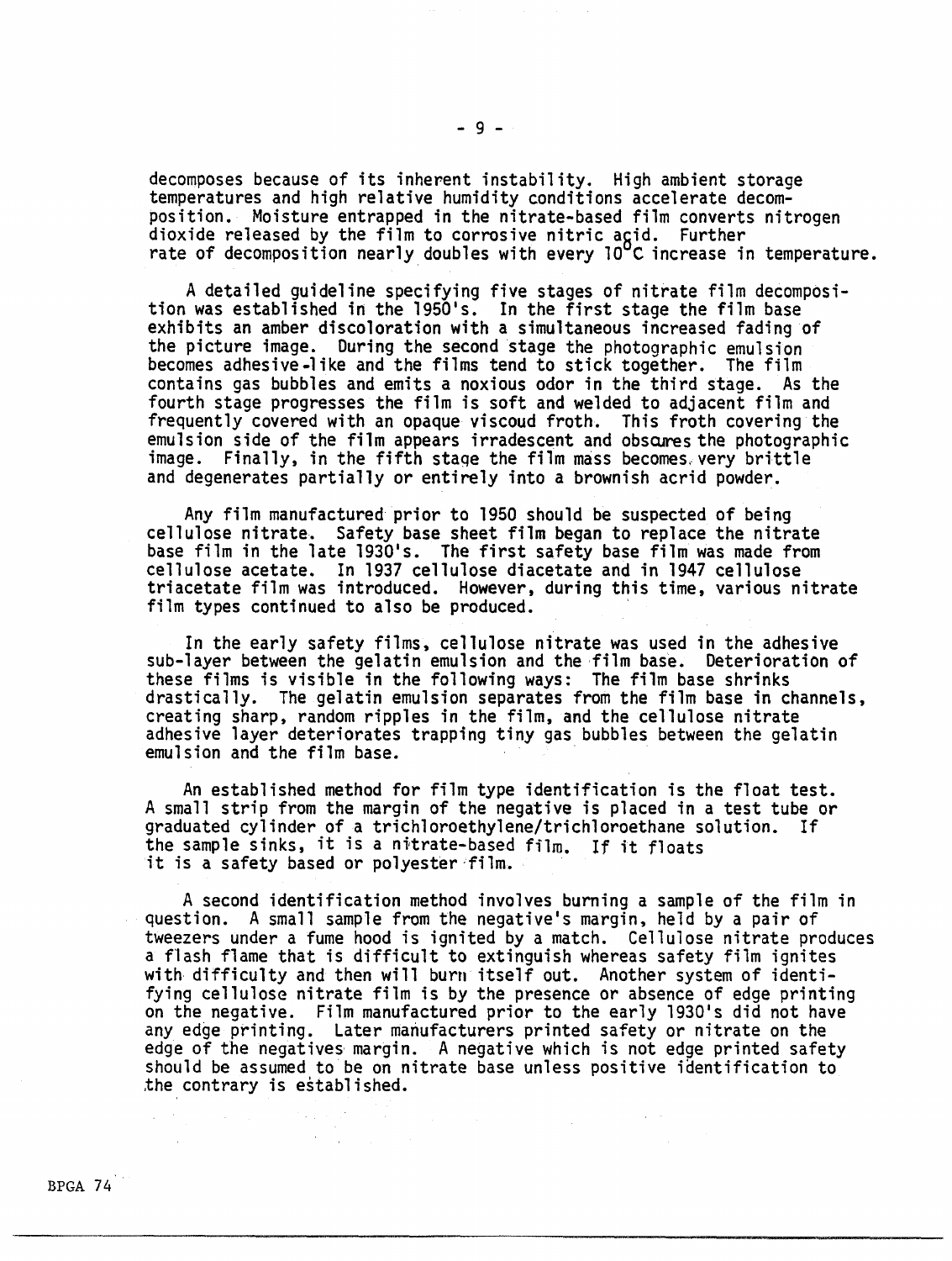decomposes because of its inherent instability. High ambient storage temperatures and high relative humidity conditions accelerate decom-<br>position. Moisture entrapped in the nitrate-based film converts nitrogen position. Moisture entrapped in the nitrate-based film converts nitrogen<br>dioxide released by the film to corrosive nitric acid. Further<br>rate of decomposition nearly doubles with every 10°C increase in temperature.

A detailed guideline specifying five stages of nitrate film decomposi- tion was established in the 1950's. In the first stage the film base exhibits an amber discoloration with a simultaneous increased fading of the picture image. During the second stage the photographic emulsion becomes adhesive-like and the films tend to stick together. The film contains gas bubbles and emits a noxious odor in the third stage. As the fourth stage progresses the film is soft and welded to adjacent film and frequently covered with an opaque viscoud froth. This froth covering the emulsion side of the film appears irradescent and obscures the photographic image. Finally, in the fifth stage the film mass becomes. very brittle and degenerates partially or entirely into a brownish acrid powder.

Any film manufactured prior to 1950 should be suspected of being cellulose nitrate. Safety base sheet film began to replace the nitrate base film in the late 1930's. The first safety base film was made from cellulose acetate. In 1937 cellulose diacetate and in 1947 cellulose triacetate film was introduced. However, during this time, various nitrate film types continued to also be produced.

In the early safety films, cellulose nitrate was used in the adhesive sub-layer between the gelatin emulsion and the film base. Deterioration of these films is visible in the following ways: The film base shrinks drastically. The gelatin emulsion separates from the film base in channels, creating sharp, random ripples in the film, and the cellulose nitrate adhesive layer deteriorates trapping tiny gas bubbles between the gelatin emulsion and the film base. ·

An established method for film type identification is the float test. A small strip from the margin of the negative is placed in a test tube or graduated cylinder of a trichloroethylene/trichloroethane solution. If the sample sinks, it is a nitrate-based film. If it floats it is a safety based or polyester-film.

A second identification method involves burning a sample of the film in question. A small sample from the negative's margin, held by a pair of tweezers under a fume hood is ignited by a match. Cellulose nitrate produces a flash flame that is difficult to extinguish whereas safety film ignites with difficulty and then will burn itself out. Another system of identifying cellulose nitrate film is by the presence or absence of edge printing on the negative. Film manufactured prior to the early 1930's did not have any edge printing. Later manufacturers printed safety or nitrate on the edge of the negatives margin. A negative which is not edge printed safety<br>should be assumed to be on nitrate base unless positive identification to ,the contrary is established.

 $\Delta \sim 10^{11}$ 

 $\chi^2 \to \chi^2$ 

 $\sim 10^7$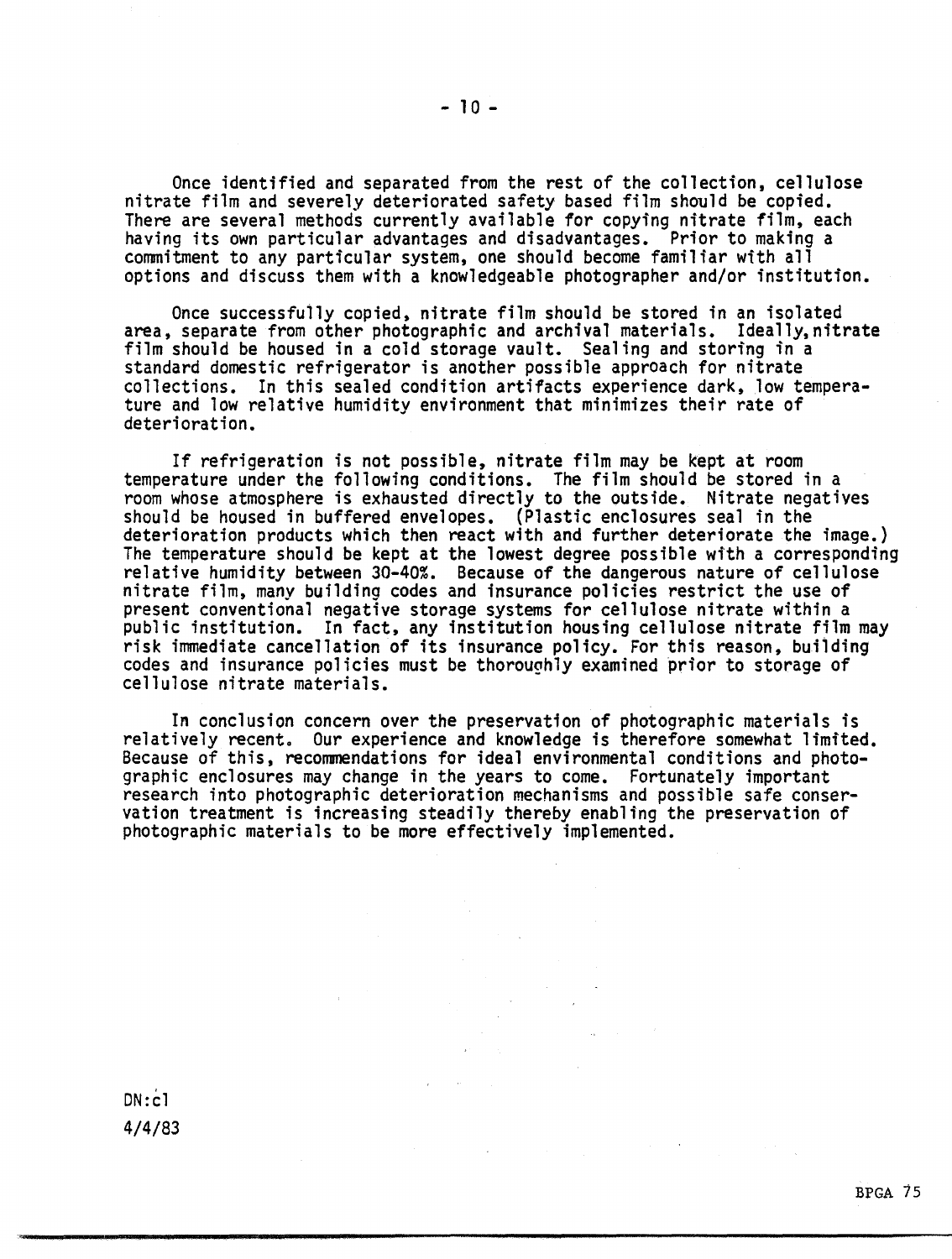Once identified and separated from the rest of the collection, cellulose nitrate film and severely deteriorated safety based film should be copied. There are several methods currently available for copying nitrate film, each having its own particular advantages and disadvantages. Prior to making a commitment to any particular system, one should become familiar with all options and discuss them with a knowledgeable photographer and/or institution.

Once successfully copied, nitrate film should be stored in an isolated<br>area, separate from other photographic and archival materials. Ideally, nitrate film should be housed in a cold storage vault. Sealing and storing in a standard domestic refrigerator is another possible approach for nitrate collections. In this sealed condition artifacts experience dark, low temperature and low relative humidity environment that minimizes their rate of deterioration.

If refrigeration is not possible, nitrate film may be kept at room temperature under the following conditions. The film should be stored in a room whose atmosphere is exhausted directly to the outside. Nitrate negatives<br>should be housed in buffered envelopes. (Plastic enclosures seal in the should be housed in buffered envelopes. (Plastic enclosures seal in the<br>deterioration products which then react with and further deteriorate the image.)<br>The temperature should be kept at the lowest degree possible with a c nitrate film, many building codes and insurance policies restrict the use of present conventional negative storage systems for cellulose nitrate within a public institution. In fact, any institution housing cellulose nitrate film may risk immediate cancellation of its insurance policy. For this reason, building codes and insurance policies must be thoroughly examined prior to storage of cellulose nitrate materials.

In conclusion concern over the preservation of photographic materials is relatively recent. Our experience and knowledge is therefore somewhat limited. Because of this, recommendations for ideal environmental conditions and photo-<br>graphic enclosures may change in the years to come. Fortunately important<br>research into photographic deterioration mechanisms and possible safe vation treatment is increasing steadily thereby enabling the preservation of photographic materials to be more effectively implemented.

 $DN: c1$ 4/4/83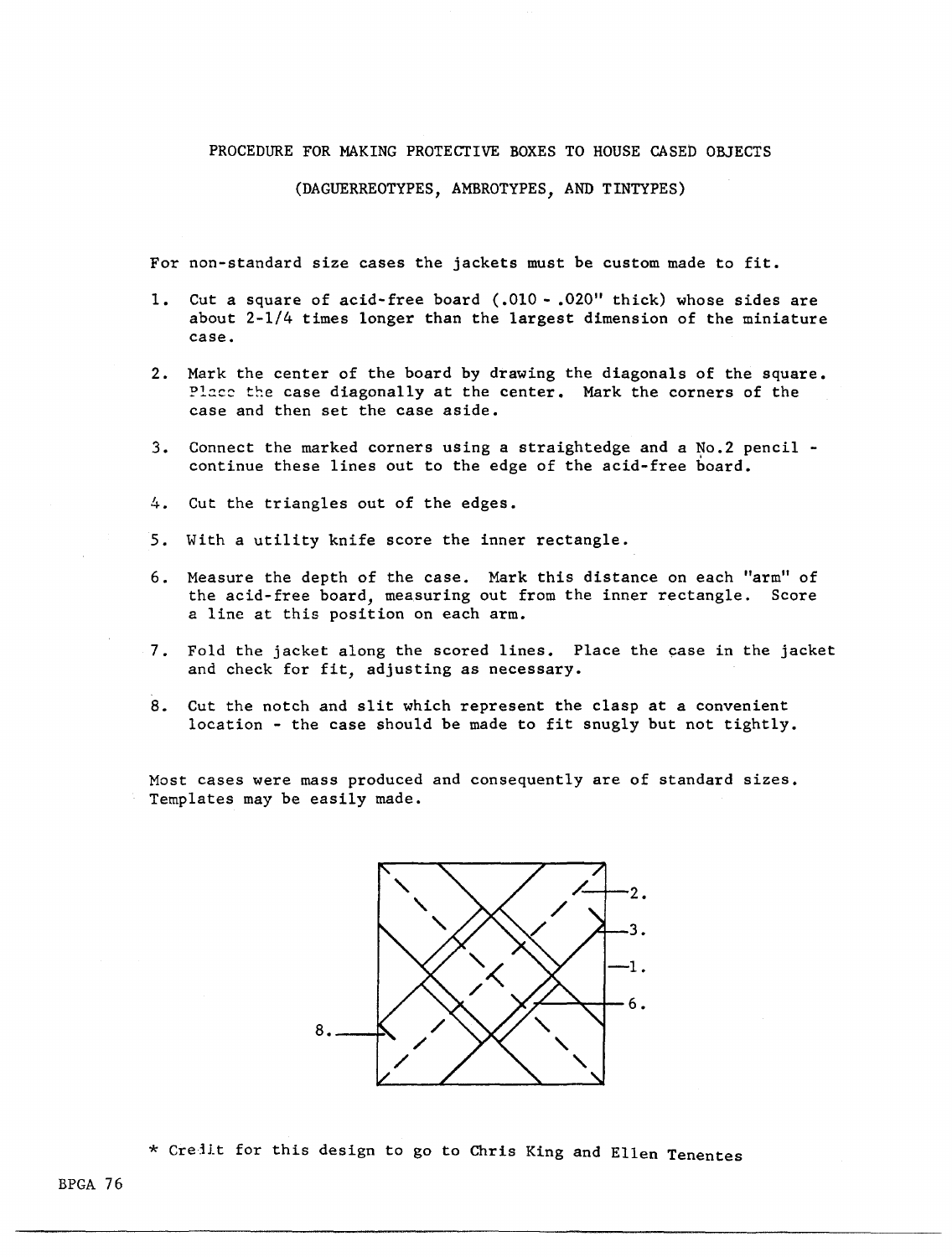#### PROCEDURE FOR MAKING PROTECTIVE BOXES TO HOUSE CASED ORJECTS

#### (DAGUERREOTYPES, AMBROTYPES, AND TINTYPES)

For non-standard size cases the jackets must be custom made to fit.

- 1. Cut a square of acid-free board ( .010 .020" thick) whose sides are about 2-1/4 times longer than the largest dimension of the miniature case.
- 2. Mark the center of the board by drawing the diagonals of the square. Place the case diagonally at the center. Mark the corners of the case and then set the case aside.
- 3. Connect the marked corners using a straightedge and a No.2 pencil continue these lines out to the edge of the acid-free board.
- 4. Cut the triangles out of the edges.
- 5. With a utility knife score the inner rectangle.
- 6. Measure the depth of the case. Mark this distance on each "arm" of the acid-free board, measuring out from the inner rectangle. Score a line at this position on each arm.
- 7. Fold the jacket along the scored lines. Place the case in the jacket and check for fit, adjusting as necessary.
- 8. Cut the notch and slit which represent the clasp at a convenient location - the case should be made to fit snugly but not tightly.

Most cases were mass produced and consequently are of standard sizes. Templates may be easily made.



\* Credit for this design to go to Chris King and Ellen Tenentes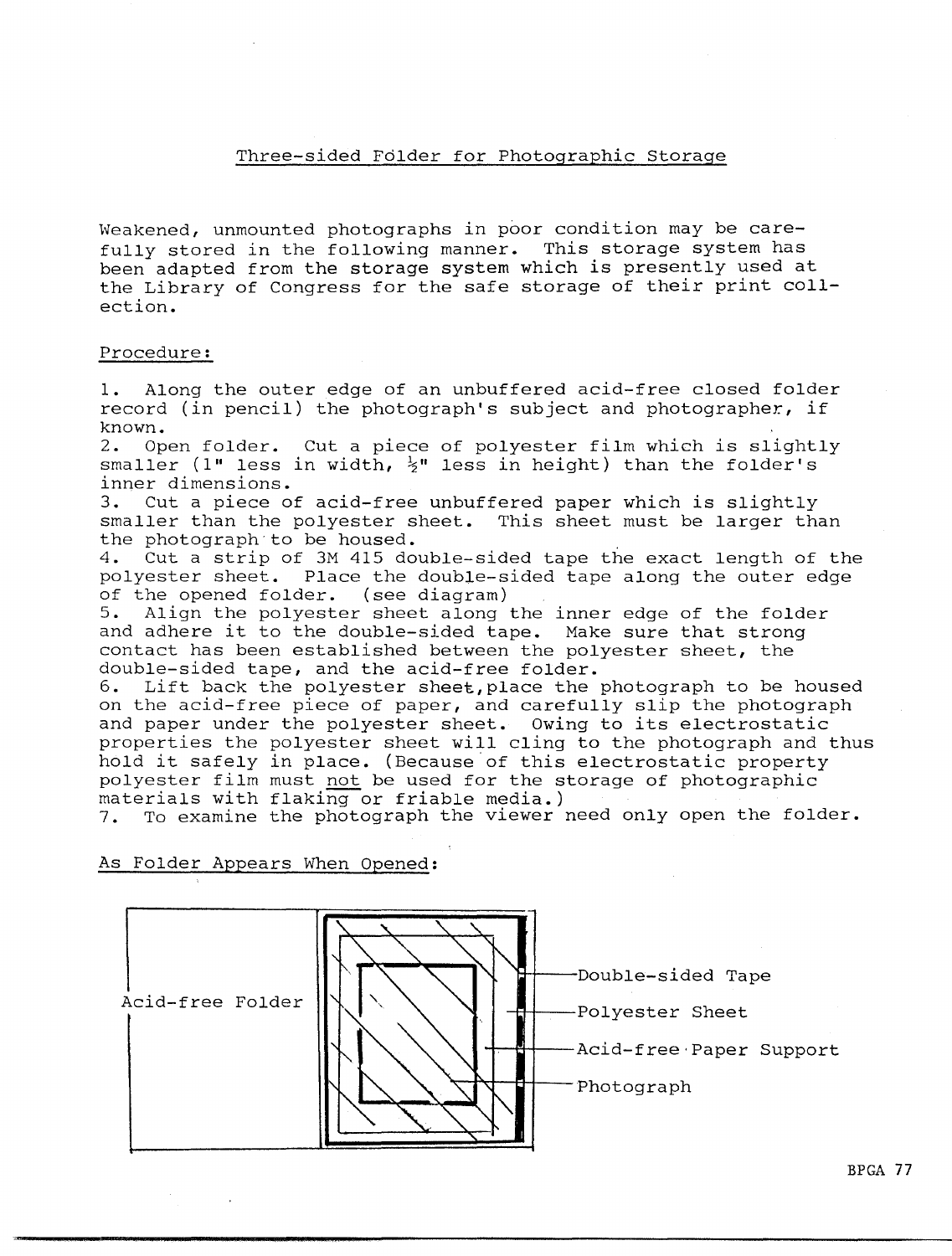# Three-sided Folder for Photographic Storage

Weakened, unmounted photographs in poor condition may be carefully stored in the following manner. This storage system has been adapted from the storage system which is presently used at the Library of Congress for the safe storage of their print collection.

## Procedure:

1. Along the outer edge of an unbuffered acid-free closed folder record (in pencil) the photograph's subject and photographer, if known.<br>2. Op

Open folder. Cut a piece of polyester film which is slightly smaller (1" less in width,  $\frac{1}{2}$ " less in height) than the folder's inner dimensions.

3. Cut a piece of acid-free unbuffered paper which is slightly smaller than the polyester sheet. This sheet must be larger than the photograph·to be housed.

4. Cut a strip of 3M 415 double-sided tape the exact length of the polyester sheet. Place the double-sided tape along the outer edge of the opened folder. (see diagram)

5. Align the polyester sheet along the inner edge of the folder and adhere it to the double-sided tape. Make sure that strong contact has been established between the polyester sheet, the double-sided tape, and the acid-free folder.

6. Lift back the polyester sheet,place the photograph to be housed on the acid-free piece of paper, and carefully slip the photograph and paper under the polyester sheet. Owing to its electrostatic properties the polyester sheet will cling to the photograph and thus hold it safely in place. (Because of this electrostatic property polyester film must not be used for the storage of photographic materials with flaking or friable media.)

7. To examine the photograph the viewer need only open the folder.

As Folder Appears When Opened:

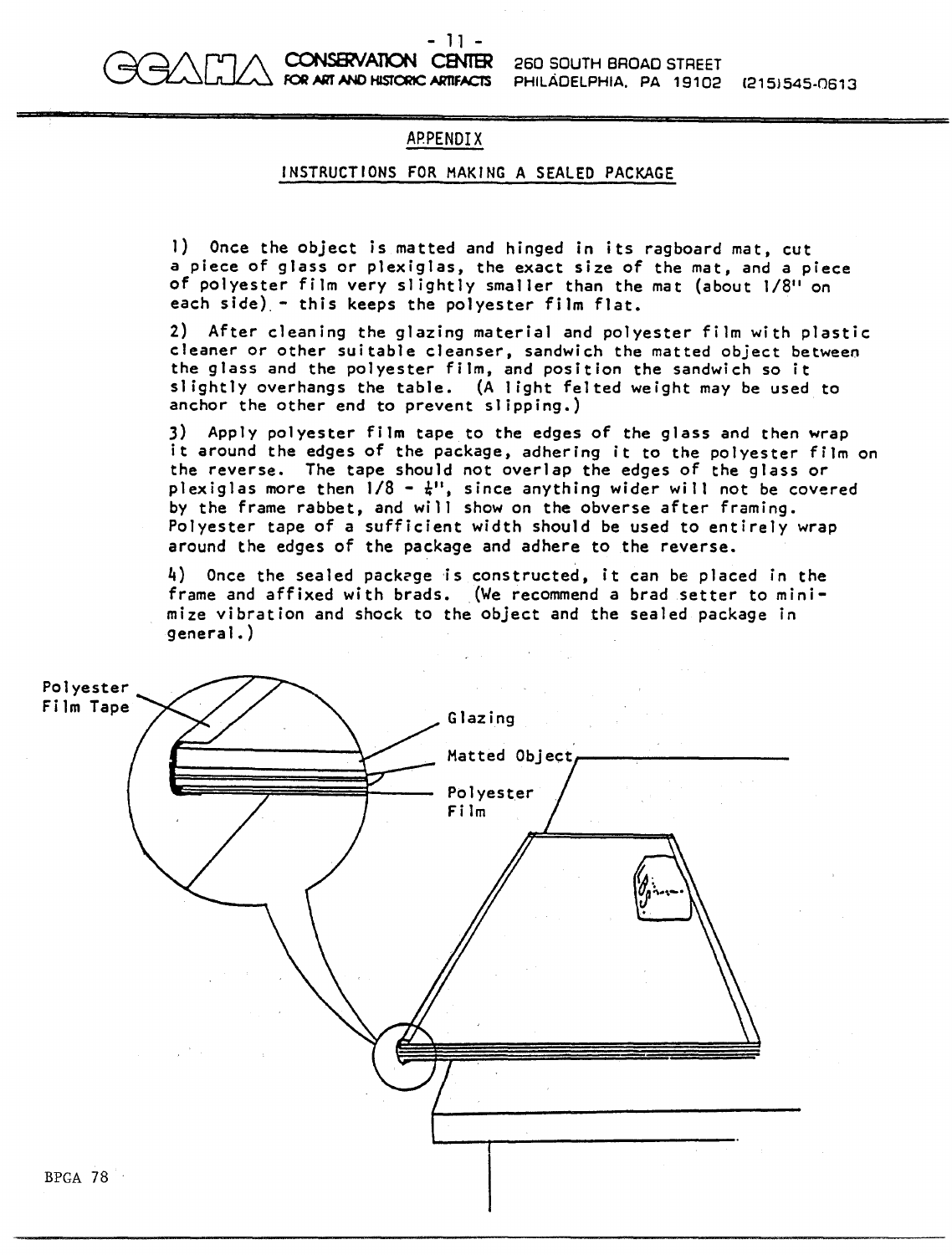

260 SOUTH BROAD STREET PHILADELPHIA. PA 19102 (2151545-0613

# APPENDIX

## INSTRUCTIONS FOR MAKING A SEALED PACKAGE

1) Once the object is matted and hinged in its ragboard mat, cut a piece of glass or plexiglas, the exact size of the mat, and a piece of polyester film very slightly smaller than the mat (about 1/8" on each side) - this keeps the polyester film flat.

2) After cleaning the glazing material and polyester film with plastic cleaner or other suitable cleanser, sandwich the matted object between the glass and the polyester film, and position the sandwich so it slightly overhangs the table. (A light felted weight may be used to anchor the other end to prevent slipping.)

3) Apply polyester film tape to the edges of the glass and then wrap it around the edges of the package, adhering it to the polyester film on the reverse. The tape should not overlap the edges of the glass or plexiglas more then  $1/8 - \frac{1}{4}$ , since anything wider will not be covered by the frame rabbet, and will show on the obverse after framing. Polyester tape of a sufficient width should be used to entirely wrap around the edges of the package and adhere to the reverse.

4) Once the sealed packcge is constructed, it can be placed in the frame and affixed with brads. (We recommend a brad setter to minimize vibration and shock to the object and the sealed package in general.)

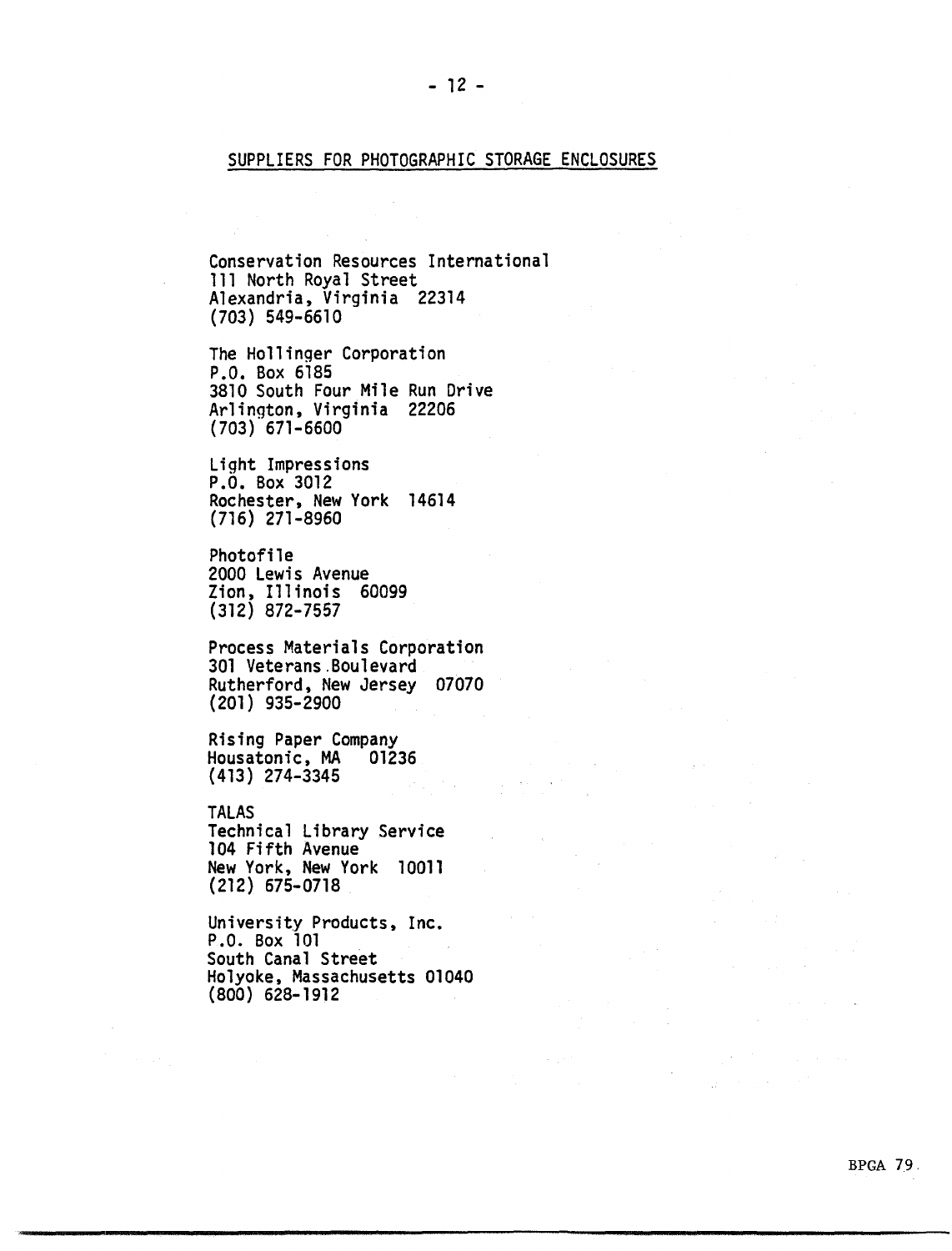## SUPPLIERS FOR PHOTOGRAPHIC STORAGE ENCLOSURES

 $- 12 -$ 

Conservation Resources International 111 North Royal Street Alexandria, Virginia 22314 (703) 549-6610

The Hollinger Corporation P.O. Box 6185 3810 South Four Mile Run Drive Arlington, Virginia 22206 ( 703) 671-6600

Light Impressions P.O. Box 3012 Rochester, New York 14614 (716) 271-8960

Photofile 2000 Lewis Avenue Zion, Illinois 60099 (312) 872-7557

Process Materials Corporation 301 Veterans.Boulevard Rutherford, New Jersey 07070 (201) 935-2900

Rising Paper Company<br>Housatonic, MA 01236<br>(413) 274-3345 {413) 274-3345

TALAS Technical Library Service 104 Fifth Avenue New York, New York 10011 (212) 675-0718

University Products, Inc. P.O. Box 101  $\sim 10^{-11}$ South Canal Street Holyoke, Massachusetts 01040 (800) 628-1912

 $\Delta \sim 10^{11}$  and  $\Delta \sim 10^{11}$ 

 $\sim 10^{11}$ 

 $\mathcal{L}_{\mathcal{A}}(\mathbf{y})$  . The contribution of the contribution of  $\mathcal{A}$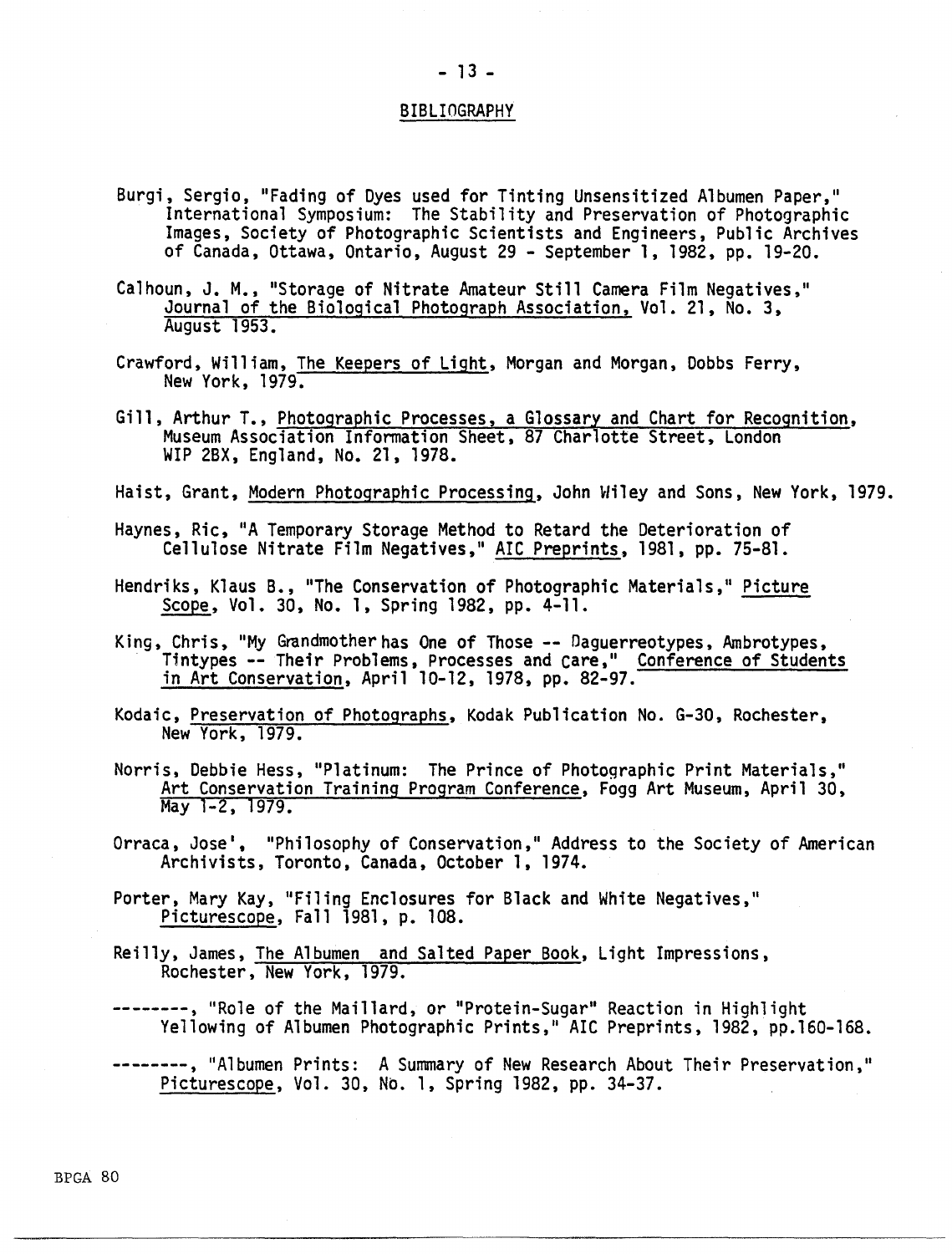### BIBLIOGRAPHY

- Burgi, Sergio, "Fading of Dyes used for Tinting Unsensitized Albumen Paper," International Symposium: The Stability and Preservation of Photographic Images, Society of Photographic Scientists and Engineers, Public Archives of Canada, Ottawa, Ontario, August 29 - September 1, 1982, pp. 19-20.
- Calhoun, J.M., "Storage of Nitrate Amateur Still Camera Film Negatives," Journal of the Biological Photograph Association, Vol. 21, No. 3, August 1953.
- Crawford, William, The Keepers of Light, Morgan and Morgan, Dobbs Ferry,<br>New York, 1979.
- Gill, Arthur T., Photographic Processes, a Glossary and Chart for Recognition, Museum Association Infonnation Sheet, 87 Charlotte Street, London WIP 2BX, England, No. 21, 1978.
- Haist, Grant, Modern Photographic Processing, John Wiley and Sons, New York, 1979.
- Haynes, Ric, "A Temporary Storage Method to Retard the Deterioration of Cellulose Nitrate Film Negatives," AIC Preprints, 1981, pp. 75-81.
- Hendriks, Klaus B., "The Conservation of Photographic Materials," Picture Scope, Vol. 30, No. 1, Spring 1982, pp. 4-11.
- King, Chris, "My Grandmother has One of Those -- Daguerreotypes, Ambrotypes,<br>Tintypes -- Their Problems, Processes and Care," Conference of Students in Art Conservation, April 10-12, 1978, pp. 82-97.
- Kodaic, Preservation of Photographs, Kodak Publication No. G-30, Rochester, New York, 1979.
- Norris, Debbie Hess, "Platinum: The Prince of Photographic Print Materials," Art Conservation Training Program Conference, Fogg Art Museum, April 30, May 1-2, 1979.
- Orraca, Jose', "Philosophy of Conservation," Address to the Society of American Archivists, Toronto, Canada, October 1, 1974.
- Porter, Mary Kay, "Filing Enclosures for Black and White Negatives," Picturescope, Fall 1981, p. 108.
- Reilly, James, The Albumen and Salted Paper Book, Light Impressions, Rochester, New York, 1979.
- --------, "Role of the Maillard, or "Protein-Sugar" Reaction in Highlight Yellowing of Albumen Photographic Prints," AIC Preprints, 1982, pp.160-168.
- --------, "Albumen Prints: A Summary of New Research About Their Preservation," Picturescope, Vol. 30, No. 1, Spring 1982, pp. 34-37.